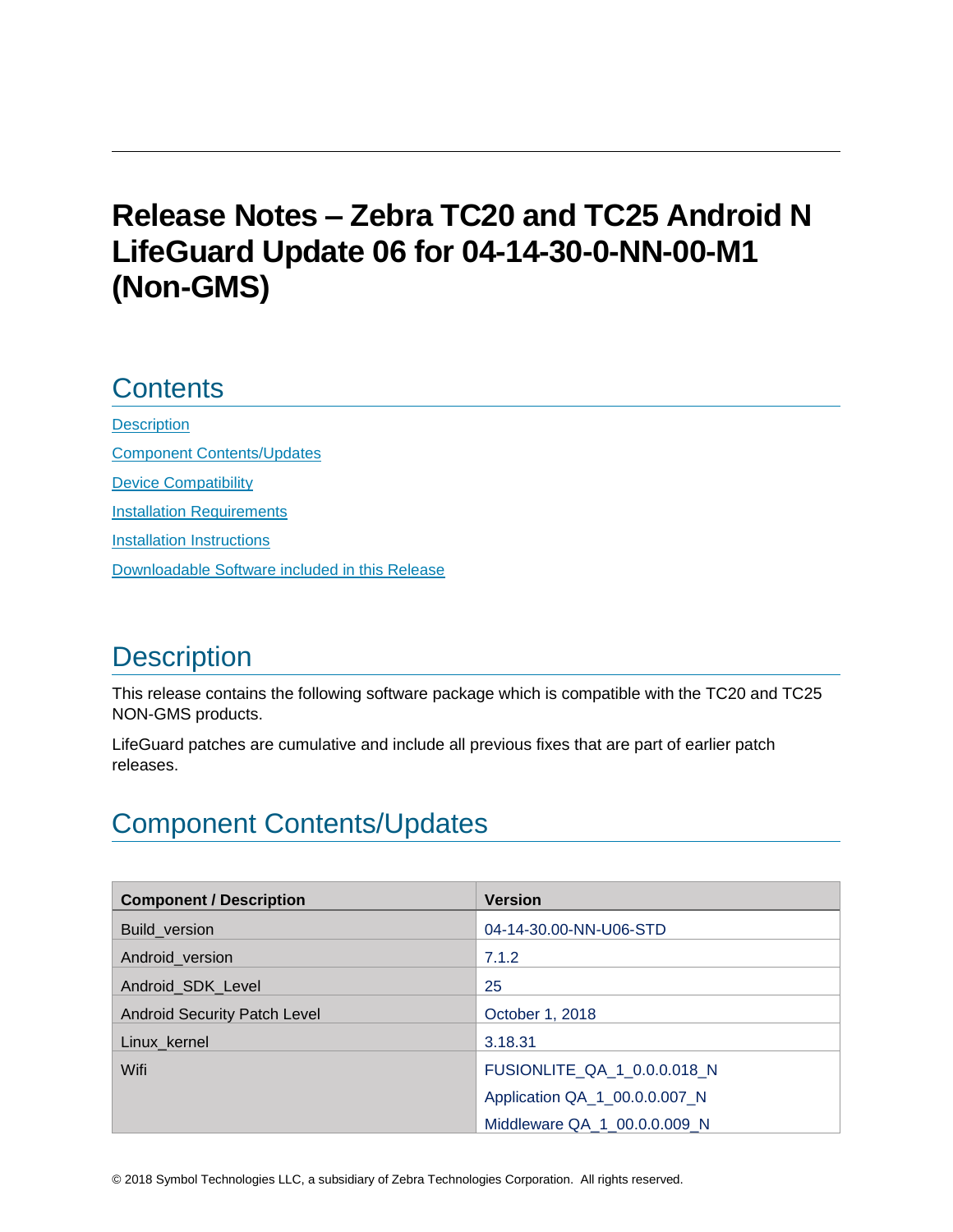# **Release Notes – Zebra TC20 and TC25 Android N LifeGuard Update 06 for 04-14-30-0-NN-00-M1 (Non-GMS)**

## **Contents**

**[Description](#page-0-0)** [Component Contents/Updates](#page-0-1) [Device Compatibility](#page-5-0) **[Installation Requirements](#page-5-1)** [Installation Instructions](#page-6-0) [Downloadable Software included in this Release](#page-7-0)

# <span id="page-0-0"></span>**Description**

This release contains the following software package which is compatible with the TC20 and TC25 NON-GMS products.

LifeGuard patches are cumulative and include all previous fixes that are part of earlier patch releases.

# <span id="page-0-1"></span>Component Contents/Updates

| <b>Component / Description</b>      | <b>Version</b>                |
|-------------------------------------|-------------------------------|
| Build_version                       | 04-14-30.00-NN-U06-STD        |
| Android_version                     | 7.1.2                         |
| Android SDK Level                   | 25                            |
| <b>Android Security Patch Level</b> | October 1, 2018               |
| Linux_kernel                        | 3.18.31                       |
| Wifi                                | FUSIONLITE_QA_1_0.0.0.018_N   |
|                                     | Application QA_1_00.0.0.007_N |
|                                     | Middleware QA 1 00.0.0.009 N  |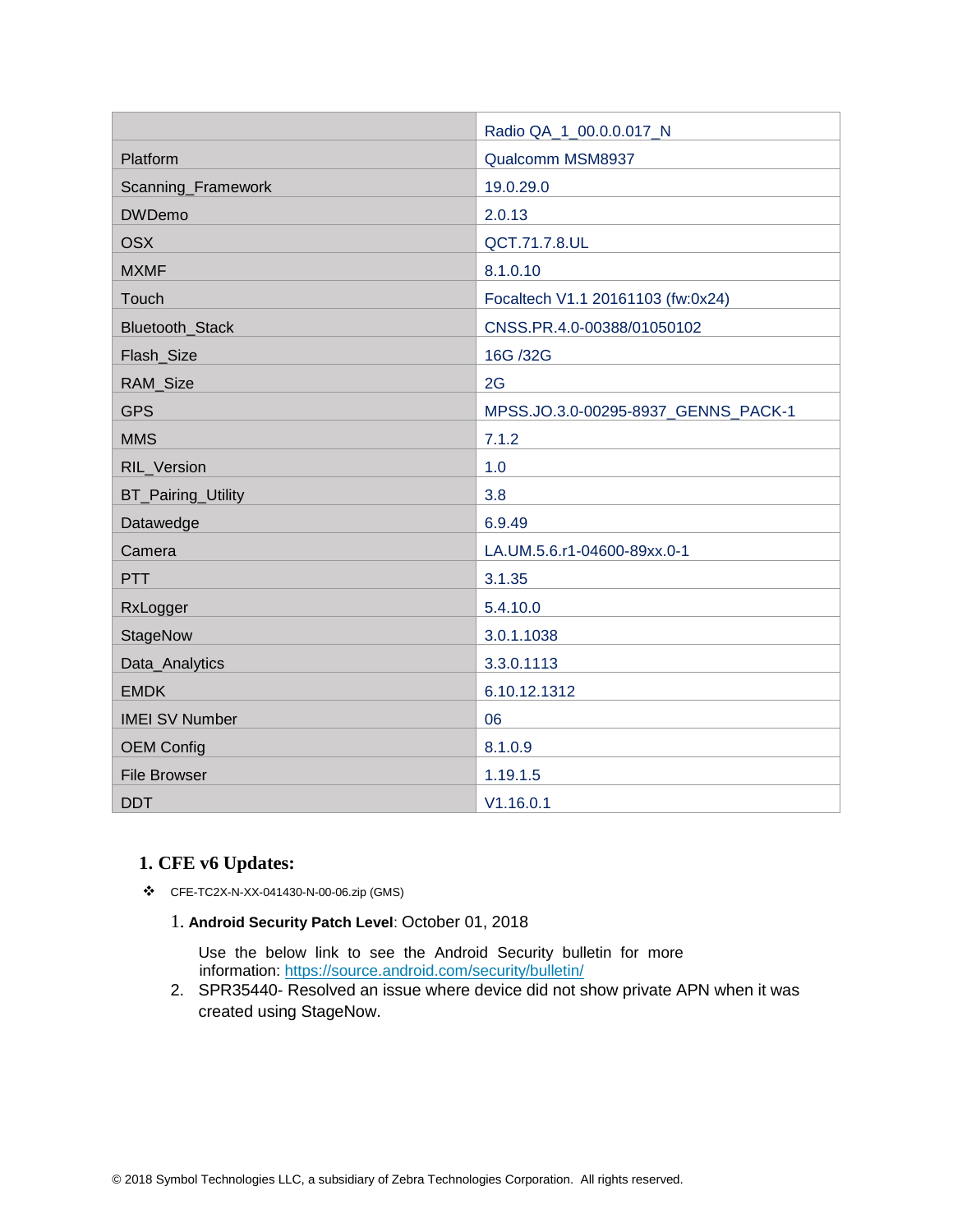|                           | Radio QA_1_00.0.0.017_N             |
|---------------------------|-------------------------------------|
| Platform                  | Qualcomm MSM8937                    |
| Scanning_Framework        | 19.0.29.0                           |
| <b>DWDemo</b>             | 2.0.13                              |
| <b>OSX</b>                | QCT.71.7.8.UL                       |
| <b>MXMF</b>               | 8.1.0.10                            |
| Touch                     | Focaltech V1.1 20161103 (fw:0x24)   |
| Bluetooth_Stack           | CNSS.PR.4.0-00388/01050102          |
| Flash_Size                | 16G /32G                            |
| RAM_Size                  | 2G                                  |
| <b>GPS</b>                | MPSS.JO.3.0-00295-8937_GENNS_PACK-1 |
| <b>MMS</b>                | 7.1.2                               |
| RIL_Version               | 1.0                                 |
| <b>BT_Pairing_Utility</b> | 3.8                                 |
| Datawedge                 | 6.9.49                              |
| Camera                    | LA.UM.5.6.r1-04600-89xx.0-1         |
| <b>PTT</b>                | 3.1.35                              |
| RxLogger                  | 5.4.10.0                            |
| StageNow                  | 3.0.1.1038                          |
| Data_Analytics            | 3.3.0.1113                          |
| <b>EMDK</b>               | 6.10.12.1312                        |
| <b>IMEI SV Number</b>     | 06                                  |
| <b>OEM Config</b>         | 8.1.0.9                             |
| <b>File Browser</b>       | 1.19.1.5                            |
| <b>DDT</b>                | V1.16.0.1                           |

### **1. CFE v6 Updates:**

- ❖ CFE-TC2X-N-XX-041430-N-00-06.zip (GMS)
	- 1. **Android Security Patch Level**: October 01, 2018

Use the below link to see the Android Security bulletin for more information:<https://source.android.com/security/bulletin/>

2. SPR35440- Resolved an issue where device did not show private APN when it was created using StageNow.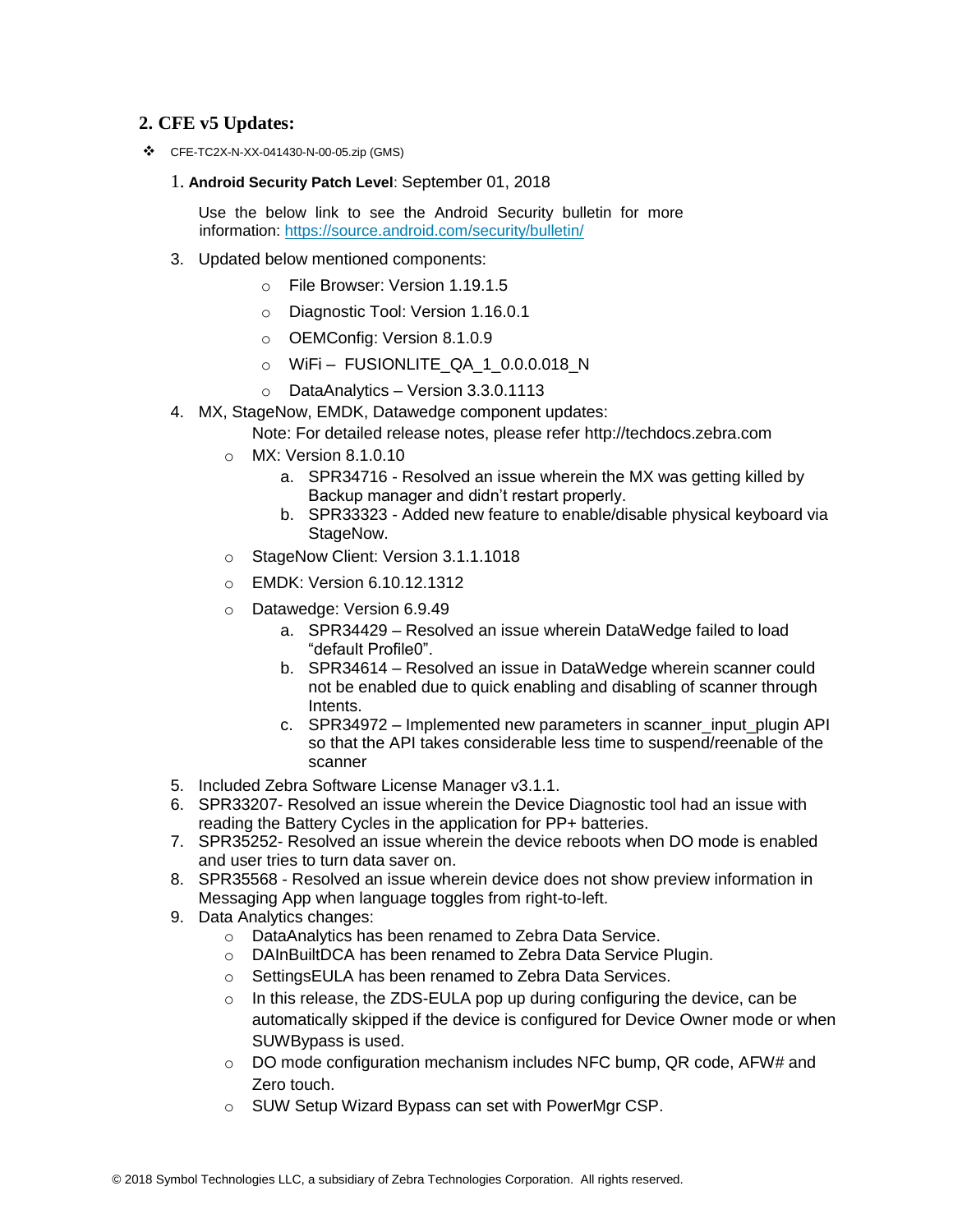### **2. CFE v5 Updates:**

❖ CFE-TC2X-N-XX-041430-N-00-05.zip (GMS)

#### 1. **Android Security Patch Level**: September 01, 2018

Use the below link to see the Android Security bulletin for more information:<https://source.android.com/security/bulletin/>

- 3. Updated below mentioned components:
	- o File Browser: Version 1.19.1.5
	- o Diagnostic Tool: Version 1.16.0.1
	- o OEMConfig: Version 8.1.0.9
	- $\circ$  WiFi FUSIONLITE QA 1 0.0.0.018 N
	- o DataAnalytics Version 3.3.0.1113
- 4. MX, StageNow, EMDK, Datawedge component updates:
	- Note: For detailed release notes, please refer [http://techdocs.zebra.com](http://techdocs.zebra.com/)
	- o MX: Version 8.1.0.10
		- a. SPR34716 Resolved an issue wherein the MX was getting killed by Backup manager and didn't restart properly.
		- b. SPR33323 Added new feature to enable/disable physical keyboard via StageNow.
	- o StageNow Client: Version 3.1.1.1018
	- o EMDK: Version 6.10.12.1312
	- o Datawedge: Version 6.9.49
		- a. SPR34429 Resolved an issue wherein DataWedge failed to load "default Profile0".
		- b. SPR34614 Resolved an issue in DataWedge wherein scanner could not be enabled due to quick enabling and disabling of scanner through Intents.
		- c. SPR34972 Implemented new parameters in scanner input plugin API so that the API takes considerable less time to suspend/reenable of the scanner
- 5. Included Zebra Software License Manager v3.1.1.
- 6. SPR33207- Resolved an issue wherein the Device Diagnostic tool had an issue with reading the Battery Cycles in the application for PP+ batteries.
- 7. SPR35252- Resolved an issue wherein the device reboots when DO mode is enabled and user tries to turn data saver on.
- 8. SPR35568 Resolved an issue wherein device does not show preview information in Messaging App when language toggles from right-to-left.
- 9. Data Analytics changes:
	- o DataAnalytics has been renamed to Zebra Data Service.
	- o DAInBuiltDCA has been renamed to Zebra Data Service Plugin.
	- o SettingsEULA has been renamed to Zebra Data Services.
	- $\circ$  In this release, the ZDS-EULA pop up during configuring the device, can be automatically skipped if the device is configured for Device Owner mode or when SUWBypass is used.
	- $\circ$  DO mode configuration mechanism includes NFC bump, QR code, AFW# and Zero touch.
	- o SUW Setup Wizard Bypass can set with PowerMgr CSP.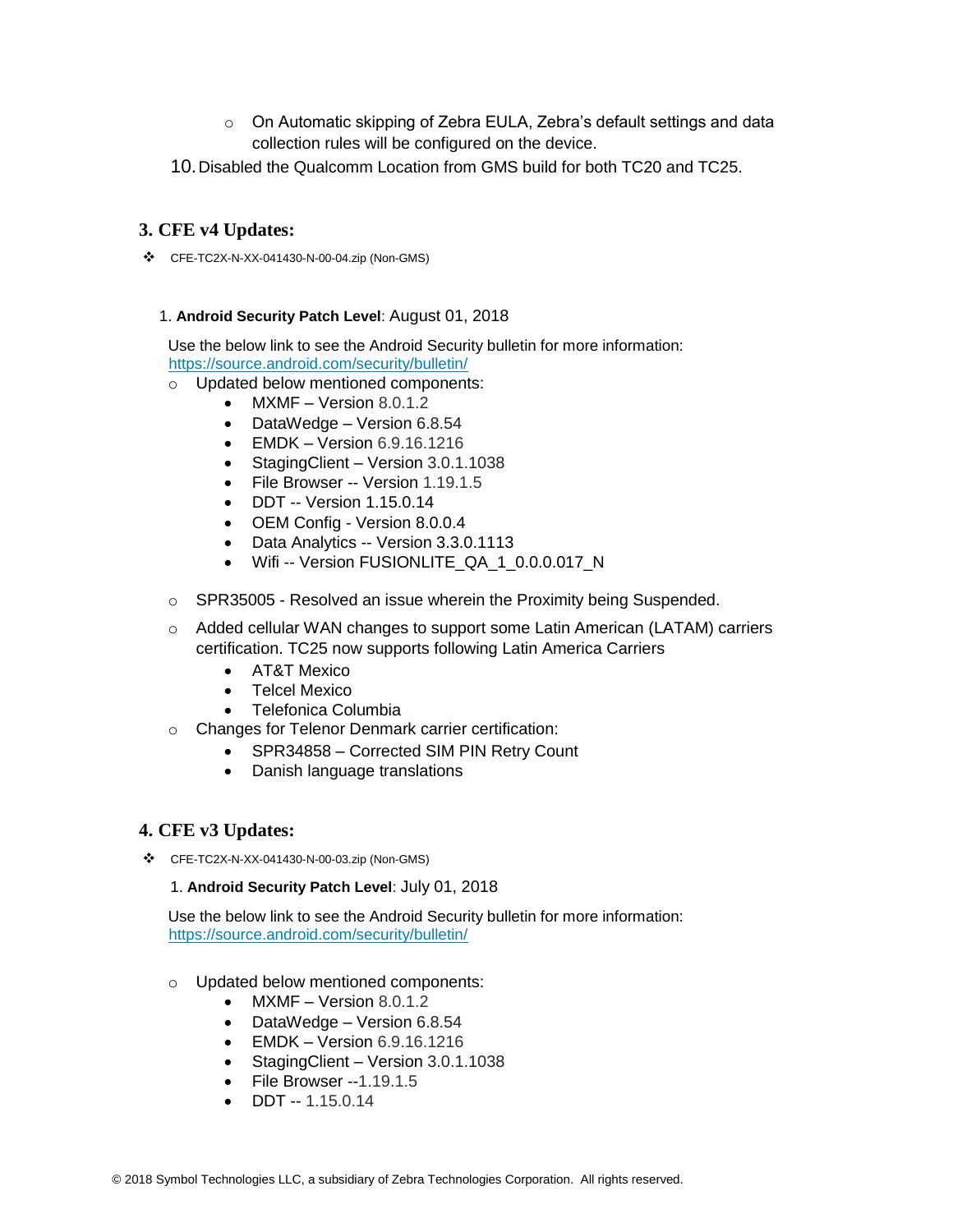- $\circ$  On Automatic skipping of Zebra EULA, Zebra's default settings and data collection rules will be configured on the device.
- 10.Disabled the Qualcomm Location from GMS build for both TC20 and TC25.

### **3. CFE v4 Updates:**

❖ CFE-TC2X-N-XX-041430-N-00-04.zip (Non-GMS)

### 1. **Android Security Patch Level**: August 01, 2018

Use the below link to see the Android Security bulletin for more information: <https://source.android.com/security/bulletin/>

- o Updated below mentioned components:
	- MXMF Version 8.0.1.2
		- DataWedge Version 6.8.54
		- EMDK Version 6.9.16.1216
		- Staging Client Version 3.0.1.1038
		- File Browser -- Version 1.19.1.5
		- DDT -- Version 1.15.0.14
		- OEM Config Version 8.0.0.4
		- Data Analytics -- Version 3.3.0.1113
		- Wifi -- Version FUSIONLITE\_QA\_1\_0.0.0.017\_N
- $\circ$  SPR35005 Resolved an issue wherein the Proximity being Suspended.
- $\circ$  Added cellular WAN changes to support some Latin American (LATAM) carriers certification. TC25 now supports following Latin America Carriers
	- AT&T Mexico
	- Telcel Mexico
	- Telefonica Columbia
- o Changes for Telenor Denmark carrier certification:
	- SPR34858 Corrected SIM PIN Retry Count
	- Danish language translations

### **4. CFE v3 Updates:**

❖ CFE-TC2X-N-XX-041430-N-00-03.zip (Non-GMS)

#### 1. **Android Security Patch Level**: July 01, 2018

Use the below link to see the Android Security bulletin for more information: <https://source.android.com/security/bulletin/>

- o Updated below mentioned components:
	- MXMF Version 8.0.1.2
	- DataWedge Version 6.8.54
	- EMDK Version 6.9.16.1216
	- StagingClient Version 3.0.1.1038
	- File Browser --1.19.1.5
	- DDT  $-1.15.0.14$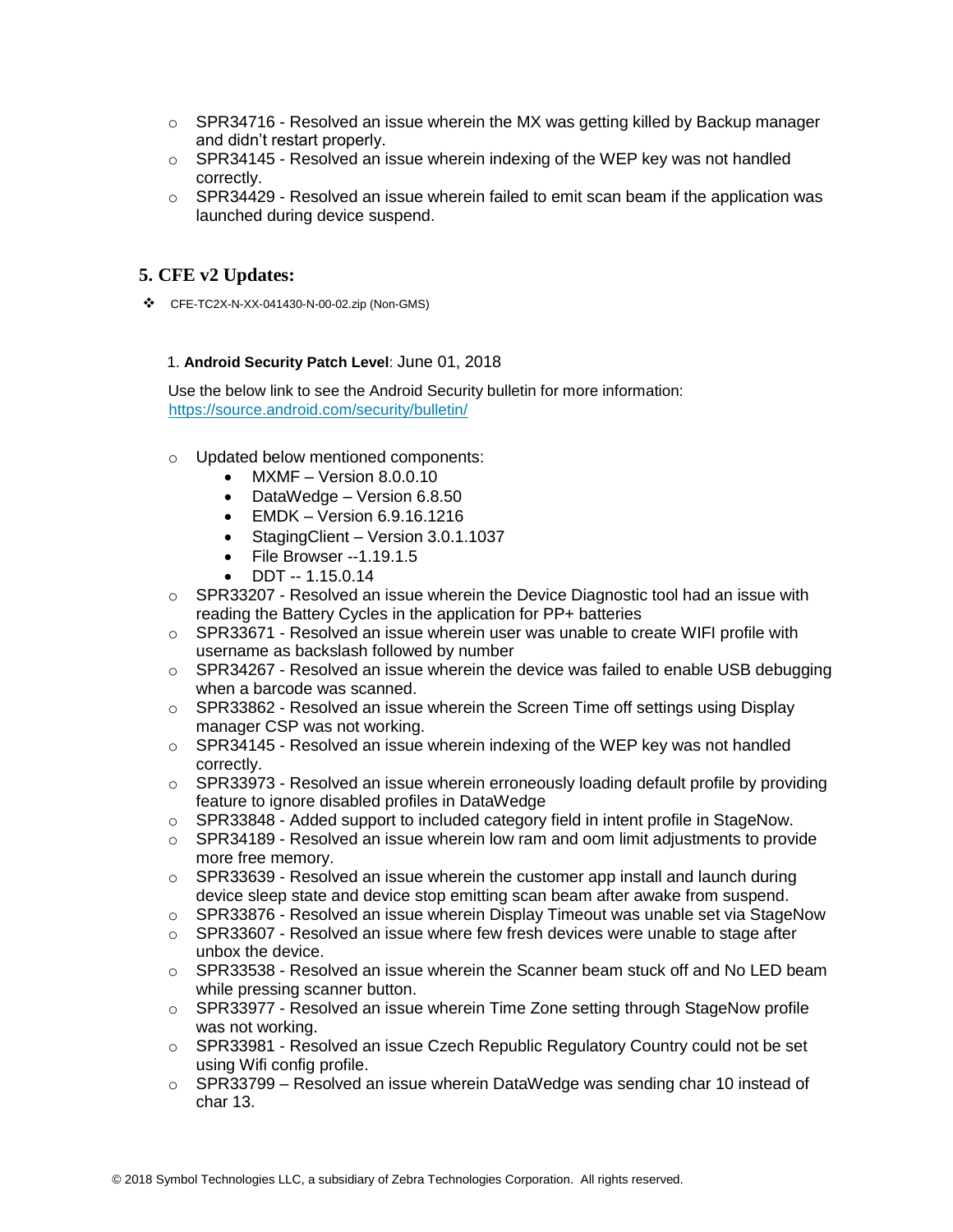- $\circ$  SPR34716 Resolved an issue wherein the MX was getting killed by Backup manager and didn't restart properly.
- $\circ$  SPR34145 Resolved an issue wherein indexing of the WEP key was not handled correctly.
- o SPR34429 Resolved an issue wherein failed to emit scan beam if the application was launched during device suspend.

### **5. CFE v2 Updates:**

❖ CFE-TC2X-N-XX-041430-N-00-02.zip (Non-GMS)

#### 1. **Android Security Patch Level**: June 01, 2018

Use the below link to see the Android Security bulletin for more information: <https://source.android.com/security/bulletin/>

- o Updated below mentioned components:
	- MXMF Version 8.0.0.10
	- DataWedge Version 6.8.50
	- EMDK Version 6.9.16.1216
	- Staging Client Version 3.0.1.1037
	- File Browser --1.19.1.5
	- DDT -- 1.15.0.14
- $\circ$  SPR33207 Resolved an issue wherein the Device Diagnostic tool had an issue with reading the Battery Cycles in the application for PP+ batteries
- $\circ$  SPR33671 Resolved an issue wherein user was unable to create WIFI profile with username as backslash followed by number
- $\circ$  SPR34267 Resolved an issue wherein the device was failed to enable USB debugging when a barcode was scanned.
- $\circ$  SPR33862 Resolved an issue wherein the Screen Time off settings using Display manager CSP was not working.
- $\circ$  SPR34145 Resolved an issue wherein indexing of the WEP key was not handled correctly.
- $\circ$  SPR33973 Resolved an issue wherein erroneously loading default profile by providing feature to ignore disabled profiles in DataWedge
- o SPR33848 Added support to included category field in intent profile in StageNow.
- o SPR34189 Resolved an issue wherein low ram and oom limit adjustments to provide more free memory.
- $\circ$  SPR33639 Resolved an issue wherein the customer app install and launch during device sleep state and device stop emitting scan beam after awake from suspend.
- $\circ$  SPR33876 Resolved an issue wherein Display Timeout was unable set via StageNow
- $\circ$  SPR33607 Resolved an issue where few fresh devices were unable to stage after unbox the device.
- $\circ$  SPR33538 Resolved an issue wherein the Scanner beam stuck off and No LED beam while pressing scanner button.
- SPR33977 Resolved an issue wherein Time Zone setting through StageNow profile was not working.
- o SPR33981 Resolved an issue Czech Republic Regulatory Country could not be set using Wifi config profile.
- $\circ$  SPR33799 Resolved an issue wherein DataWedge was sending char 10 instead of char 13.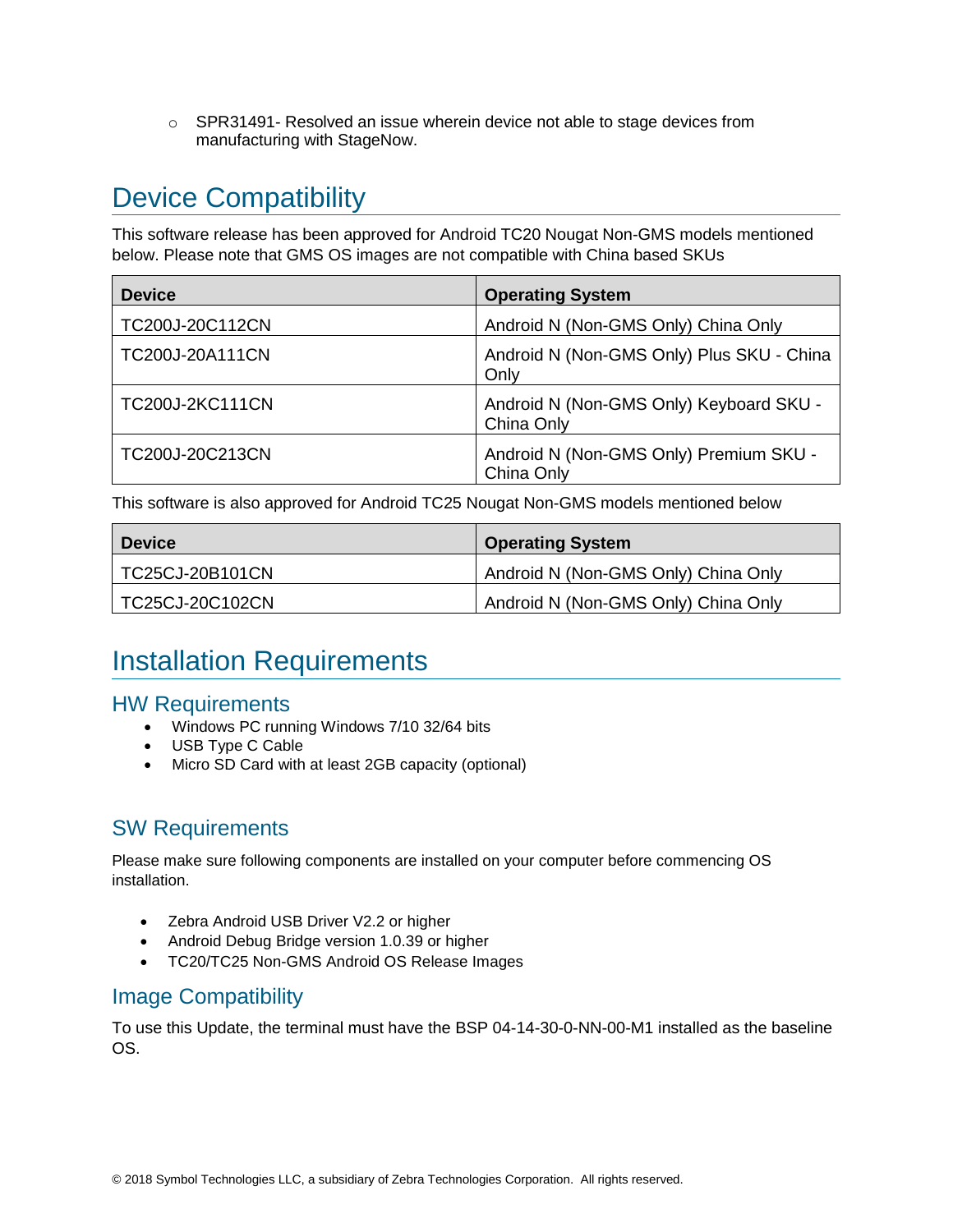$\circ$  SPR31491- Resolved an issue wherein device not able to stage devices from manufacturing with StageNow.

# <span id="page-5-0"></span>Device Compatibility

This software release has been approved for Android TC20 Nougat Non-GMS models mentioned below. Please note that GMS OS images are not compatible with China based SKUs

| <b>Device</b>          | <b>Operating System</b>                               |
|------------------------|-------------------------------------------------------|
| TC200J-20C112CN        | Android N (Non-GMS Only) China Only                   |
| TC200J-20A111CN        | Android N (Non-GMS Only) Plus SKU - China<br>Only     |
| <b>TC200J-2KC111CN</b> | Android N (Non-GMS Only) Keyboard SKU -<br>China Only |
| TC200J-20C213CN        | Android N (Non-GMS Only) Premium SKU -<br>China Only  |

This software is also approved for Android TC25 Nougat Non-GMS models mentioned below

| <b>Device</b>   | <b>Operating System</b>             |
|-----------------|-------------------------------------|
| TC25CJ-20B101CN | Android N (Non-GMS Only) China Only |
| TC25CJ-20C102CN | Android N (Non-GMS Only) China Only |

## <span id="page-5-1"></span>Installation Requirements

### HW Requirements

- Windows PC running Windows 7/10 32/64 bits
- USB Type C Cable
- Micro SD Card with at least 2GB capacity (optional)

### SW Requirements

Please make sure following components are installed on your computer before commencing OS installation.

- Zebra Android USB Driver V2.2 or higher
- Android Debug Bridge version 1.0.39 or higher
- TC20/TC25 Non-GMS Android OS Release Images

### Image Compatibility

To use this Update, the terminal must have the BSP 04-14-30-0-NN-00-M1 installed as the baseline OS.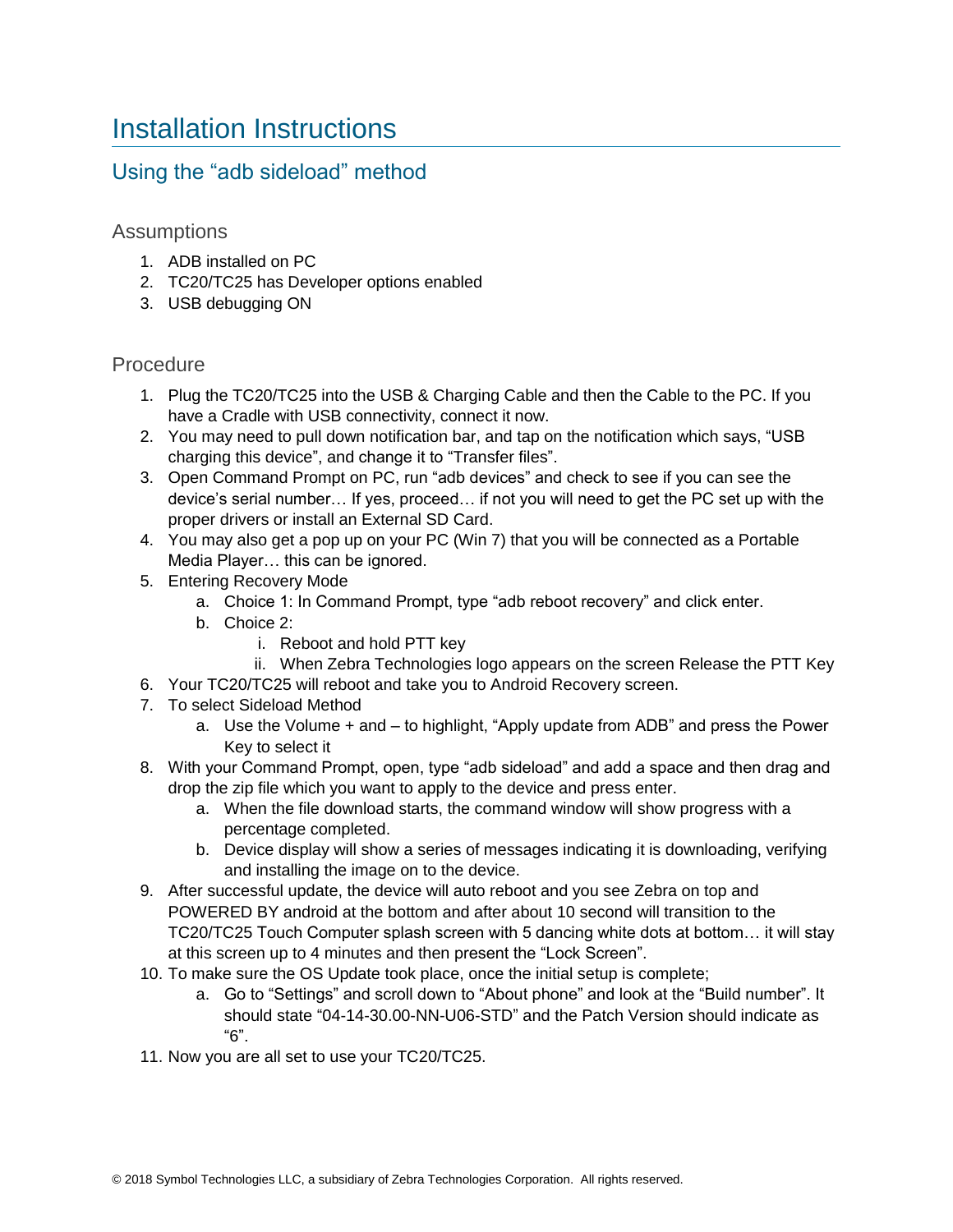## <span id="page-6-0"></span>Installation Instructions

### Using the "adb sideload" method

### Assumptions

- 1. ADB installed on PC
- 2. TC20/TC25 has Developer options enabled
- 3. USB debugging ON

### Procedure

- 1. Plug the TC20/TC25 into the USB & Charging Cable and then the Cable to the PC. If you have a Cradle with USB connectivity, connect it now.
- 2. You may need to pull down notification bar, and tap on the notification which says, "USB charging this device", and change it to "Transfer files".
- 3. Open Command Prompt on PC, run "adb devices" and check to see if you can see the device's serial number… If yes, proceed… if not you will need to get the PC set up with the proper drivers or install an External SD Card.
- 4. You may also get a pop up on your PC (Win 7) that you will be connected as a Portable Media Player… this can be ignored.
- 5. Entering Recovery Mode
	- a. Choice 1: In Command Prompt, type "adb reboot recovery" and click enter.
	- b. Choice 2:
		- i. Reboot and hold PTT key
	- ii. When Zebra Technologies logo appears on the screen Release the PTT Key
- 6. Your TC20/TC25 will reboot and take you to Android Recovery screen.
- 7. To select Sideload Method
	- a. Use the Volume + and to highlight, "Apply update from ADB" and press the Power Key to select it
- 8. With your Command Prompt, open, type "adb sideload" and add a space and then drag and drop the zip file which you want to apply to the device and press enter.
	- a. When the file download starts, the command window will show progress with a percentage completed.
	- b. Device display will show a series of messages indicating it is downloading, verifying and installing the image on to the device.
- 9. After successful update, the device will auto reboot and you see Zebra on top and POWERED BY android at the bottom and after about 10 second will transition to the TC20/TC25 Touch Computer splash screen with 5 dancing white dots at bottom… it will stay at this screen up to 4 minutes and then present the "Lock Screen".
- 10. To make sure the OS Update took place, once the initial setup is complete;
	- a. Go to "Settings" and scroll down to "About phone" and look at the "Build number". It should state "04-14-30.00-NN-U06-STD" and the Patch Version should indicate as "6".
- 11. Now you are all set to use your TC20/TC25.